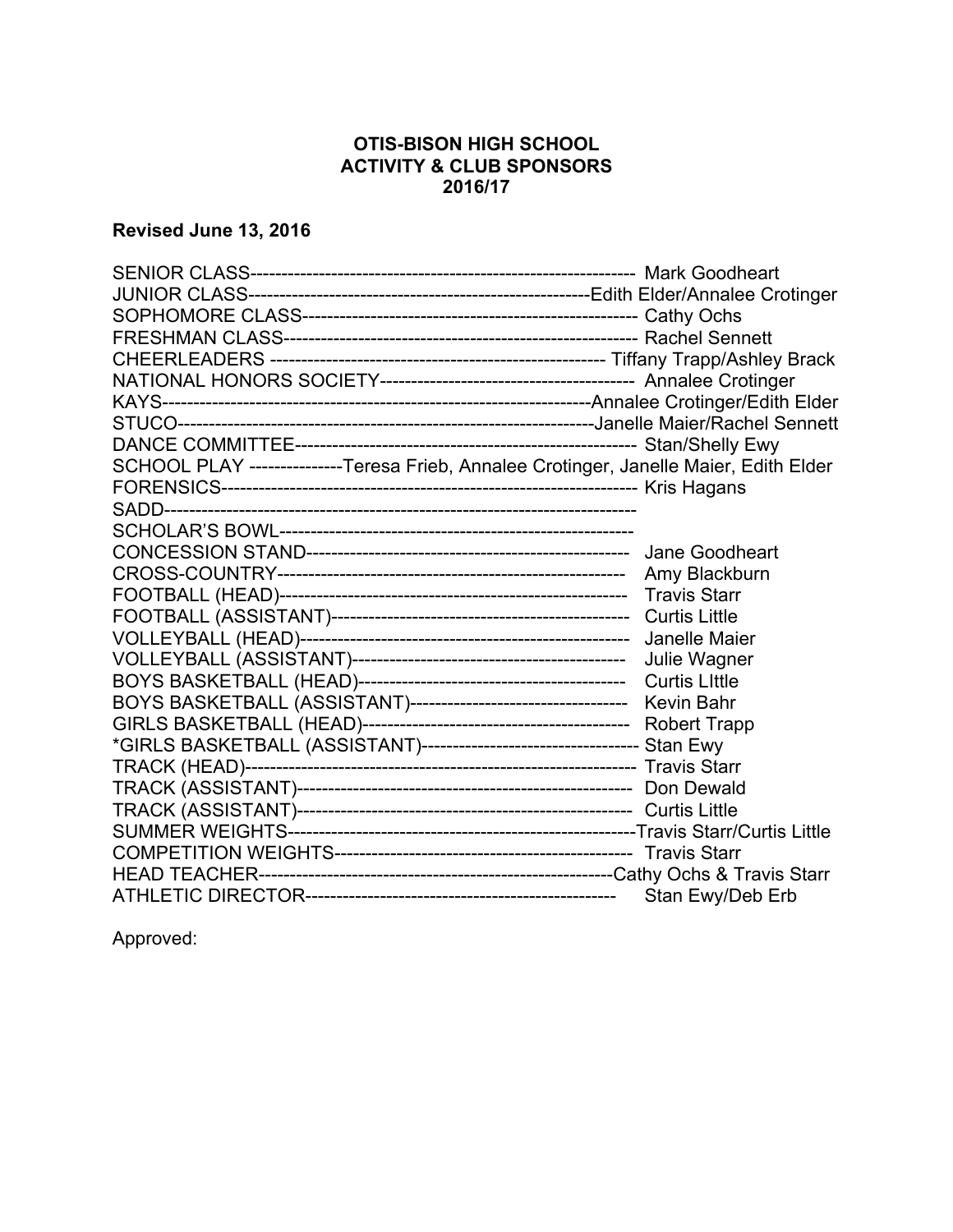## **OTIS-BISON HIGH SCHOOL ACTIVITY & CLUB SPONSORS 2016/17**

## **Revised June 13, 2016**

| SCHOOL PLAY ---------------Teresa Frieb, Annalee Crotinger, Janelle Maier, Edith Elder |  |
|----------------------------------------------------------------------------------------|--|
|                                                                                        |  |
|                                                                                        |  |
|                                                                                        |  |
|                                                                                        |  |
|                                                                                        |  |
|                                                                                        |  |
|                                                                                        |  |
|                                                                                        |  |
|                                                                                        |  |
|                                                                                        |  |
|                                                                                        |  |
|                                                                                        |  |
|                                                                                        |  |
|                                                                                        |  |
|                                                                                        |  |
|                                                                                        |  |
|                                                                                        |  |
|                                                                                        |  |
|                                                                                        |  |
|                                                                                        |  |

Approved: